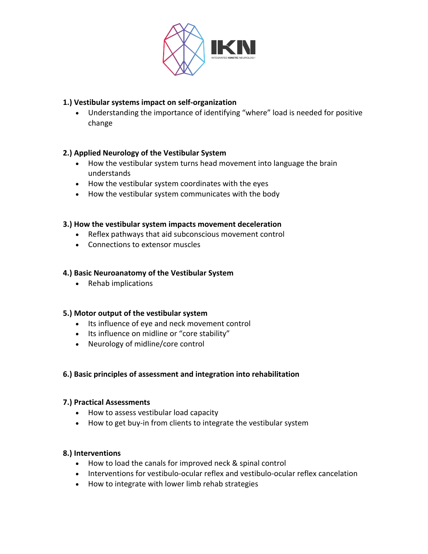

# **1.) Vestibular systems impact on self-organization**

• Understanding the importance of identifying "where" load is needed for positive change

# **2.) Applied Neurology of the Vestibular System**

- How the vestibular system turns head movement into language the brain understands
- How the vestibular system coordinates with the eyes
- How the vestibular system communicates with the body

### **3.) How the vestibular system impacts movement deceleration**

- Reflex pathways that aid subconscious movement control
- Connections to extensor muscles

### **4.) Basic Neuroanatomy of the Vestibular System**

• Rehab implications

### **5.) Motor output of the vestibular system**

- Its influence of eye and neck movement control
- Its influence on midline or "core stability"
- Neurology of midline/core control

### **6.) Basic principles of assessment and integration into rehabilitation**

### **7.) Practical Assessments**

- How to assess vestibular load capacity
- How to get buy-in from clients to integrate the vestibular system

### **8.) Interventions**

- How to load the canals for improved neck & spinal control
- Interventions for vestibulo-ocular reflex and vestibulo-ocular reflex cancelation
- How to integrate with lower limb rehab strategies